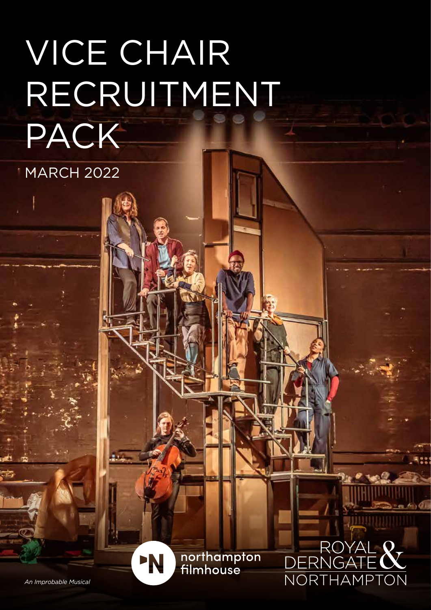## VICE CHAIR RECRUITMENT PACK

**MARCH 2022** 

northampton<br>filmhouse

'N

ROYAL 8

RN

**NORTHAMPTO** 

*An Improbable Musical*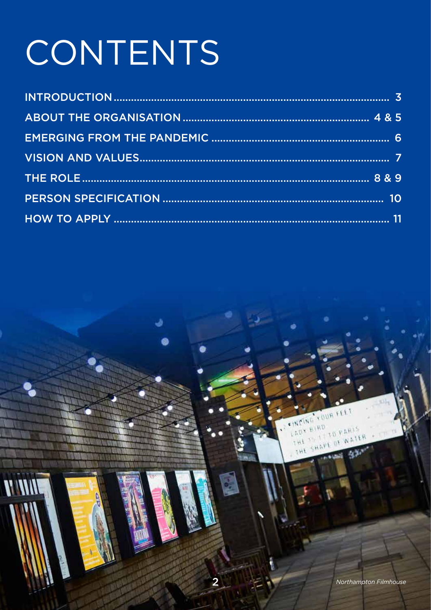# CONTENTS

**V WW** 

**FEET** 

**UD PARIS** 

 $11$ 

RUUX

 $\mathcal{C}(\mathcal{H})$  $H$ *(RD*)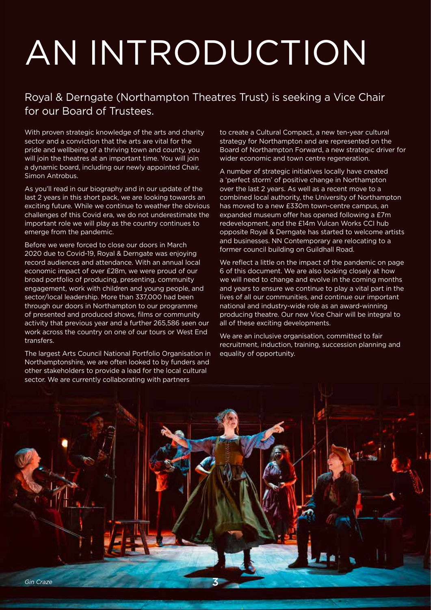# AN INTRODUCTION

### Royal & Derngate (Northampton Theatres Trust) is seeking a Vice Chair for our Board of Trustees.

With proven strategic knowledge of the arts and charity sector and a conviction that the arts are vital for the pride and wellbeing of a thriving town and county, you will join the theatres at an important time. You will join a dynamic board, including our newly appointed Chair, Simon Antrobus.

As you'll read in our biography and in our update of the last 2 years in this short pack, we are looking towards an exciting future. While we continue to weather the obvious challenges of this Covid era, we do not underestimate the important role we will play as the country continues to emerge from the pandemic.

Before we were forced to close our doors in March 2020 due to Covid-19, Royal & Derngate was enjoying record audiences and attendance. With an annual local economic impact of over £28m, we were proud of our broad portfolio of producing, presenting, community engagement, work with children and young people, and sector/local leadership. More than 337,000 had been through our doors in Northampton to our programme of presented and produced shows, films or community activity that previous year and a further 265,586 seen our work across the country on one of our tours or West End transfers.

The largest Arts Council National Portfolio Organisation in Northamptonshire, we are often looked to by funders and other stakeholders to provide a lead for the local cultural sector. We are currently collaborating with partners

to create a Cultural Compact, a new ten-year cultural strategy for Northampton and are represented on the Board of Northampton Forward, a new strategic driver for wider economic and town centre regeneration.

A number of strategic initiatives locally have created a 'perfect storm' of positive change in Northampton over the last 2 years. As well as a recent move to a combined local authority, the University of Northampton has moved to a new £330m town-centre campus, an expanded museum offer has opened following a £7m redevelopment, and the £14m Vulcan Works CCI hub opposite Royal & Derngate has started to welcome artists and businesses. NN Contemporary are relocating to a former council building on Guildhall Road.

We reflect a little on the impact of the pandemic on page 6 of this document. We are also looking closely at how we will need to change and evolve in the coming months and years to ensure we continue to play a vital part in the lives of all our communities, and continue our important national and industry-wide role as an award-winning producing theatre. Our new Vice Chair will be integral to all of these exciting developments.

We are an inclusive organisation, committed to fair recruitment, induction, training, succession planning and equality of opportunity.

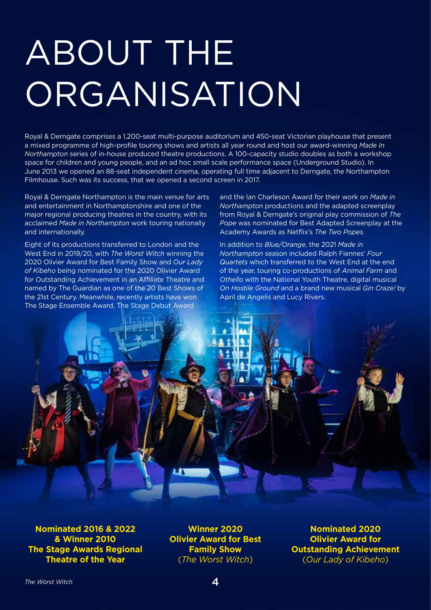## ABOUT THE **ORGANISATION**

Royal & Derngate comprises a 1,200-seat multi-purpose auditorium and 450-seat Victorian playhouse that present a mixed programme of high-profile touring shows and artists all year round and host our award-winning *Made In Northampton* series of in-house produced theatre productions. A 100-capacity studio doubles as both a workshop space for children and young people, and an ad hoc small scale performance space (Underground Studio). In June 2013 we opened an 88-seat independent cinema, operating full time adjacent to Derngate, the Northampton Filmhouse. Such was its success, that we opened a second screen in 2017.

Royal & Derngate Northampton is the main venue for arts and entertainment in Northamptonshire and one of the major regional producing theatres in the country, with its acclaimed *Made in Northampton* work touring nationally and internationally.

Eight of its productions transferred to London and the West End in 2019/20, with *The Worst Witch* winning the 2020 Olivier Award for Best Family Show and *Our Lady of Kibeho* being nominated for the 2020 Olivier Award for Outstanding Achievement in an Affiliate Theatre and named by The Guardian as one of the 20 Best Shows of the 21st Century. Meanwhile, recently artists have won The Stage Ensemble Award, The Stage Debut Award

and the Ian Charleson Award for their work on *Made in Northampton* productions and the adapted screenplay from Royal & Derngate's original play commission of *The Pope* was nominated for Best Adapted Screenplay at the Academy Awards as Netflix's *The Two Popes*.

In addition to *Blue/Orange*, the 2021 *Made in Northampton* season included Ralph Fiennes' *Four Quartets* which transferred to the West End at the end of the year, touring co-productions of *Animal Farm* and *Othello* with the National Youth Theatre, digital musical *On Hostile Ground* and a brand new musical *Gin Craze!* by April de Angelis and Lucy Rivers.



**Nominated 2016 & 2022 & Winner 2010 The Stage Awards Regional Theatre of the Year**

**Winner 2020 Olivier Award for Best Family Show**  (*The Worst Witch*)

**Nominated 2020 Olivier Award for Outstanding Achievement** (*Our Lady of Kibeho*)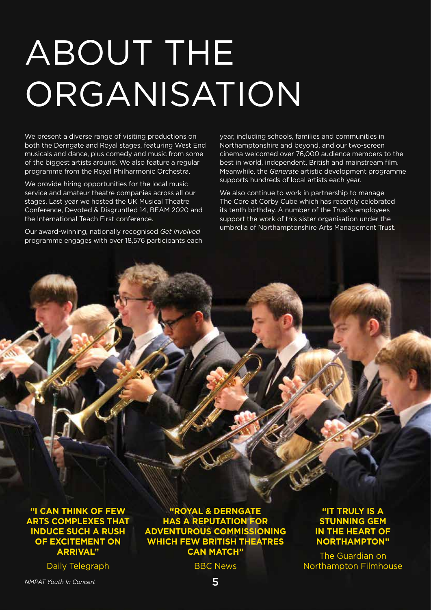## ABOUT THE **ORGANISATION**

We present a diverse range of visiting productions on both the Derngate and Royal stages, featuring West End musicals and dance, plus comedy and music from some of the biggest artists around. We also feature a regular programme from the Royal Philharmonic Orchestra.

We provide hiring opportunities for the local music service and amateur theatre companies across all our stages. Last year we hosted the UK Musical Theatre Conference, Devoted & Disgruntled 14, BEAM 2020 and the International Teach First conference.

Our award-winning, nationally recognised *Get Involved* programme engages with over 18,576 participants each year, including schools, families and communities in Northamptonshire and beyond, and our two-screen cinema welcomed over 76,000 audience members to the best in world, independent, British and mainstream film. Meanwhile, the *Generate* artistic development programme supports hundreds of local artists each year.

We also continue to work in partnership to manage The Core at Corby Cube which has recently celebrated its tenth birthday. A number of the Trust's employees support the work of this sister organisation under the umbrella of Northamptonshire Arts Management Trust.

**"I CAN THINK OF FEW ARTS COMPLEXES THAT INDUCE SUCH A RUSH OF EXCITEMENT ON ARRIVAL"**

Daily Telegraph

**"ROYAL & DERNGATE HAS A REPUTATION FOR ADVENTUROUS COMMISSIONING WHICH FEW BRITISH THEATRES CAN MATCH"**

BBC News

**"IT TRULY IS A STUNNING GEM IN THE HEART OF NORTHAMPTON"**

The Guardian on Northampton Filmhouse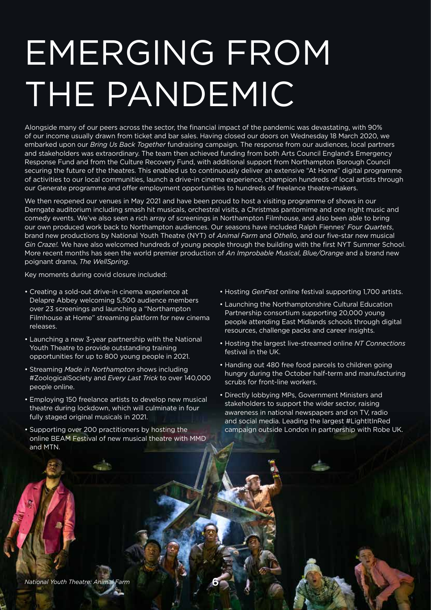## EMERGING FROM THE PANDEMIC

Alongside many of our peers across the sector, the financial impact of the pandemic was devastating, with 90% of our income usually drawn from ticket and bar sales. Having closed our doors on Wednesday 18 March 2020, we embarked upon our *Bring Us Back Together* fundraising campaign. The response from our audiences, local partners and stakeholders was extraordinary. The team then achieved funding from both Arts Council England's Emergency Response Fund and from the Culture Recovery Fund, with additional support from Northampton Borough Council securing the future of the theatres. This enabled us to continuously deliver an extensive "At Home" digital programme of activities to our local communities, launch a drive-in cinema experience, champion hundreds of local artists through our Generate programme and offer employment opportunities to hundreds of freelance theatre-makers.

We then reopened our venues in May 2021 and have been proud to host a visiting programme of shows in our Derngate auditorium including smash hit musicals, orchestral visits, a Christmas pantomime and one night music and comedy events. We've also seen a rich array of screenings in Northampton Filmhouse, and also been able to bring our own produced work back to Northampton audiences. Our seasons have included Ralph Fiennes' *Four Quartets*, brand new productions by National Youth Theatre (NYT) of *Animal Farm* and *Othello*, and our five-star new musical *Gin Craze!.* We have also welcomed hundreds of young people through the building with the first NYT Summer School. More recent months has seen the world premier production of *An Improbable Musical*, *Blue/Orange* and a brand new poignant drama, *The WellSpring*.

Key moments during covid closure included:

- Creating a sold-out drive-in cinema experience at Delapre Abbey welcoming 5,500 audience members over 23 screenings and launching a "Northampton Filmhouse at Home" streaming platform for new cinema releases.
- Launching a new 3-year partnership with the National Youth Theatre to provide outstanding training opportunities for up to 800 young people in 2021.
- Streaming *Made in Northampton* shows including #ZoologicalSociety and *Every Last Trick* to over 140,000 people online.
- Employing 150 freelance artists to develop new musical theatre during lockdown, which will culminate in four fully staged original musicals in 2021.
- Supporting over 200 practitioners by hosting the online BEAM Festival of new musical theatre with MMD and MTN.
- Hosting *GenFest* online festival supporting 1,700 artists.
- Launching the Northamptonshire Cultural Education Partnership consortium supporting 20,000 young people attending East Midlands schools through digital resources, challenge packs and career insights.
- Hosting the largest live-streamed online *NT Connections*  festival in the UK.
- Handing out 480 free food parcels to children going hungry during the October half-term and manufacturing scrubs for front-line workers.
- Directly lobbying MPs, Government Ministers and stakeholders to support the wider sector, raising awareness in national newspapers and on TV, radio and social media. Leading the largest #LightItInRed campaign outside London in partnership with Robe UK.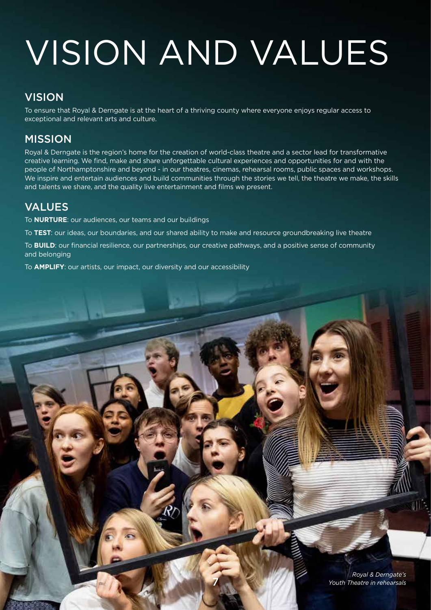## VISION AND VALUES

### **VISION**

To ensure that Royal & Derngate is at the heart of a thriving county where everyone enjoys regular access to exceptional and relevant arts and culture.

## MISSION

Royal & Derngate is the region's home for the creation of world-class theatre and a sector lead for transformative creative learning. We find, make and share unforgettable cultural experiences and opportunities for and with the people of Northamptonshire and beyond - in our theatres, cinemas, rehearsal rooms, public spaces and workshops. We inspire and entertain audiences and build communities through the stories we tell, the theatre we make, the skills and talents we share, and the quality live entertainment and films we present.

### VALUES

To **NURTURE**: our audiences, our teams and our buildings

To **TEST**: our ideas, our boundaries, and our shared ability to make and resource groundbreaking live theatre

To **BUILD**: our financial resilience, our partnerships, our creative pathways, and a positive sense of community and belonging

7

To **AMPLIFY**: our artists, our impact, our diversity and our accessibility

*Royal & Derngate's Youth Theatre in rehearsals*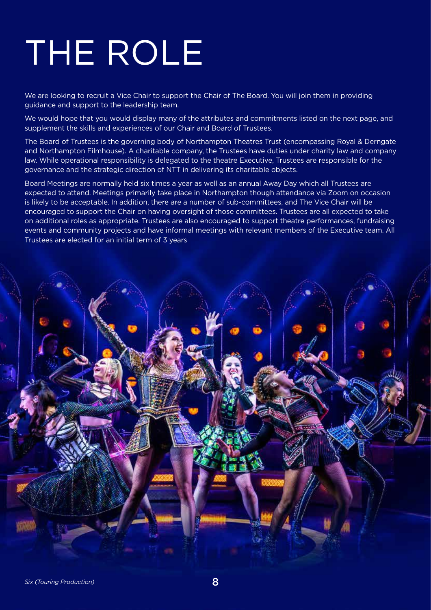## THE ROLE

We are looking to recruit a Vice Chair to support the Chair of The Board. You will join them in providing guidance and support to the leadership team.

We would hope that you would display many of the attributes and commitments listed on the next page, and supplement the skills and experiences of our Chair and Board of Trustees.

The Board of Trustees is the governing body of Northampton Theatres Trust (encompassing Royal & Derngate and Northampton Filmhouse). A charitable company, the Trustees have duties under charity law and company law. While operational responsibility is delegated to the theatre Executive, Trustees are responsible for the governance and the strategic direction of NTT in delivering its charitable objects.

Board Meetings are normally held six times a year as well as an annual Away Day which all Trustees are expected to attend. Meetings primarily take place in Northampton though attendance via Zoom on occasion is likely to be acceptable. In addition, there are a number of sub-committees, and The Vice Chair will be encouraged to support the Chair on having oversight of those committees. Trustees are all expected to take on additional roles as appropriate. Trustees are also encouraged to support theatre performances, fundraising events and community projects and have informal meetings with relevant members of the Executive team. All Trustees are elected for an initial term of 3 years

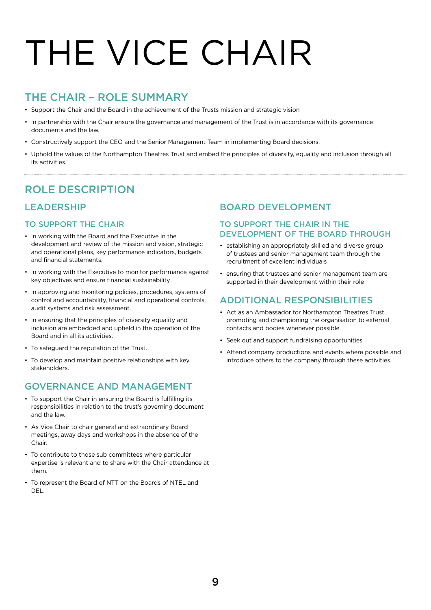# THE VICE CHAIR

### THE CHAIR – ROLE SUMMARY

- Support the Chair and the Board in the achievement of the Trusts mission and strategic vision
- In partnership with the Chair ensure the governance and management of the Trust is in accordance with its governance documents and the law.
- Constructively support the CEO and the Senior Management Team in implementing Board decisions.
- Uphold the values of the Northampton Theatres Trust and embed the principles of diversity, equality and inclusion through all its activities.

### ROLE DESCRIPTION

#### LEADERSHIP

#### TO SUPPORT THE CHAIR

- In working with the Board and the Executive in the development and review of the mission and vision, strategic and operational plans, key performance indicators, budgets and financial statements.
- In working with the Executive to monitor performance against key objectives and ensure financial sustainability
- In approving and monitoring policies, procedures, systems of control and accountability, financial and operational controls, audit systems and risk assessment.
- In ensuring that the principles of diversity equality and inclusion are embedded and upheld in the operation of the Board and in all its activities.
- To safeguard the reputation of the Trust.
- To develop and maintain positive relationships with key stakeholders.

#### GOVERNANCE AND MANAGEMENT

- To support the Chair in ensuring the Board is fulfilling its responsibilities in relation to the trust's governing document and the law.
- As Vice Chair to chair general and extraordinary Board meetings, away days and workshops in the absence of the Chair.
- To contribute to those sub committees where particular expertise is relevant and to share with the Chair attendance at them.
- To represent the Board of NTT on the Boards of NTEL and DEL.

#### BOARD DEVELOPMENT

#### TO SUPPORT THE CHAIR IN THE DEVELOPMENT OF THE BOARD THROUGH

- establishing an appropriately skilled and diverse group of trustees and senior management team through the recruitment of excellent individuals
- ensuring that trustees and senior management team are supported in their development within their role

#### ADDITIONAL RESPONSIBILITIES

- Act as an Ambassador for Northampton Theatres Trust, promoting and championing the organisation to external contacts and bodies whenever possible.
- Seek out and support fundraising opportunities
- Attend company productions and events where possible and introduce others to the company through these activities.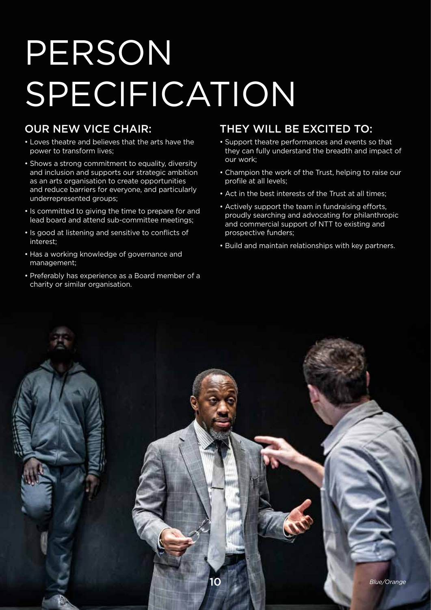## PERSON SPECIFICATION

### OUR NEW VICE CHAIR:

- Loves theatre and believes that the arts have the power to transform lives;
- Shows a strong commitment to equality, diversity and inclusion and supports our strategic ambition as an arts organisation to create opportunities and reduce barriers for everyone, and particularly underrepresented groups;
- Is committed to giving the time to prepare for and lead board and attend sub-committee meetings;
- Is good at listening and sensitive to conflicts of interest;
- Has a working knowledge of governance and management;
- Preferably has experience as a Board member of a charity or similar organisation.

### THEY WILL BE EXCITED TO:

- Support theatre performances and events so that they can fully understand the breadth and impact of our work;
- Champion the work of the Trust, helping to raise our profile at all levels;
- Act in the best interests of the Trust at all times;
- Actively support the team in fundraising efforts, proudly searching and advocating for philanthropic and commercial support of NTT to existing and prospective funders;
- Build and maintain relationships with key partners.

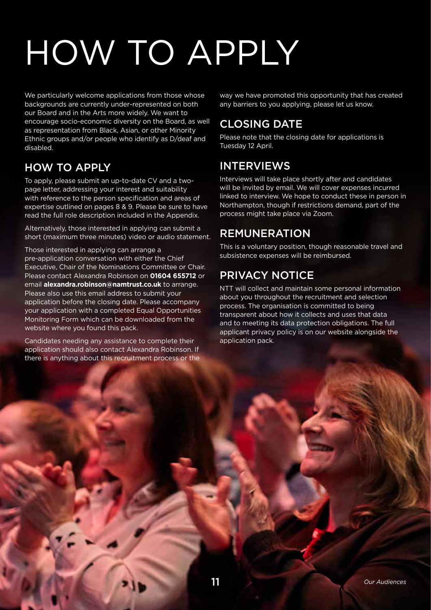## HOW TO APPLY

We particularly welcome applications from those whose backgrounds are currently under-represented on both our Board and in the Arts more widely. We want to encourage socio-economic diversity on the Board, as well as representation from Black, Asian, or other Minority Ethnic groups and/or people who identify as D/deaf and disabled.

### HOW TO APPLY

To apply, please submit an up-to-date CV and a twopage letter, addressing your interest and suitability with reference to the person specification and areas of expertise outlined on pages 8 & 9. Please be sure to have read the full role description included in the Appendix.

Alternatively, those interested in applying can submit a short (maximum three minutes) video or audio statement.

Those interested in applying can arrange a pre-application conversation with either the Chief Executive, Chair of the Nominations Committee or Chair. Please contact Alexandra Robinson on **01604 655712** or email **alexandra.robinson@namtrust.co.uk** to arrange. Please also use this email address to submit your application before the closing date. Please accompany your application with a completed Equal Opportunities Monitoring Form which can be downloaded from the website where you found this pack.

Candidates needing any assistance to complete their application should also contact Alexandra Robinson. If there is anything about this recruitment process or the way we have promoted this opportunity that has created any barriers to you applying, please let us know.

### CLOSING DATE

Please note that the closing date for applications is Tuesday 12 April.

### INTERVIEWS

Interviews will take place shortly after and candidates will be invited by email. We will cover expenses incurred linked to interview. We hope to conduct these in person in Northampton, though if restrictions demand, part of the process might take place via Zoom.

## REMUNERATION

This is a voluntary position, though reasonable travel and subsistence expenses will be reimbursed.

### PRIVACY NOTICE

NTT will collect and maintain some personal information about you throughout the recruitment and selection process. The organisation is committed to being transparent about how it collects and uses that data and to meeting its data protection obligations. The full applicant privacy policy is on our website alongside the application pack.